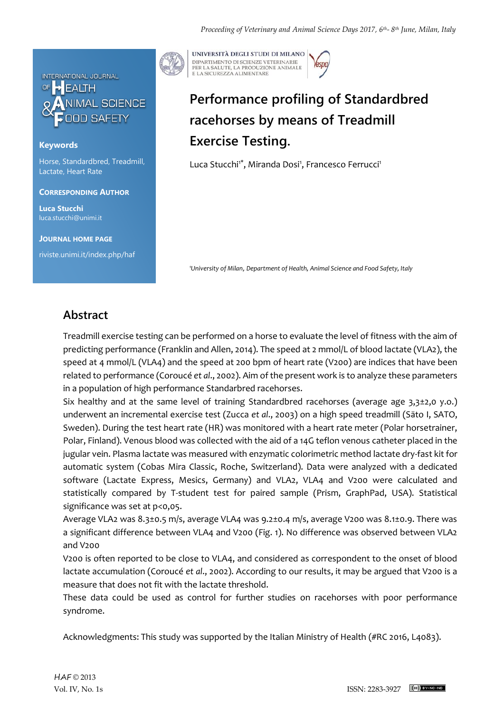

### **Keywords**

Horse, Standardbred, Treadmill, Lactate, Heart Rate

#### **CORRESPONDING AUTHOR**

**Luca Stucchi** luca.stucchi@unimi.it

**JOURNAL HOME PAGE**

riviste.unimi.it/index.php/haf



UNIVERSITÀ DEGLI STUDI DI MILANO DIPARTIMENTO DI SCIENZE VETERINARIE PER LA SALUTE, LA PRODUZIONE ANIMALE<br>E LA SICUREZZA ALIMENTARE

# **Performance profiling of Standardbred racehorses by means of Treadmill Exercise Testing.**

Luca Stucchi<sup>1\*</sup>, Miranda Dosi<sup>1</sup>, Francesco Ferrucci<sup>1</sup>

*<sup>1</sup>University of Milan*, *Department of Health, Animal Science and Food Safety, Italy*

## **Abstract**

Treadmill exercise testing can be performed on a horse to evaluate the level of fitness with the aim of predicting performance (Franklin and Allen, 2014). The speed at 2 mmol/L of blood lactate (VLA2), the speed at 4 mmol/L (VLA4) and the speed at 200 bpm of heart rate (V200) are indices that have been related to performance (Coroucé *et al*., 2002). Aim of the present work is to analyze these parameters in a population of high performance Standarbred racehorses.

Six healthy and at the same level of training Standardbred racehorses (average age 3,3±2,0 y.o.) underwent an incremental exercise test (Zucca *et al*., 2003) on a high speed treadmill (Sӓto I, SATO, Sweden). During the test heart rate (HR) was monitored with a heart rate meter (Polar horsetrainer, Polar, Finland). Venous blood was collected with the aid of a 14G teflon venous catheter placed in the jugular vein. Plasma lactate was measured with enzymatic colorimetric method lactate dry-fast kit for automatic system (Cobas Mira Classic, Roche, Switzerland). Data were analyzed with a dedicated software (Lactate Express, Mesics, Germany) and VLA2, VLA4 and V200 were calculated and statistically compared by T-student test for paired sample (Prism, GraphPad, USA). Statistical significance was set at p<0,05.

Average VLA2 was 8.3±0.5 m/s, average VLA4 was 9.2±0.4 m/s, average V200 was 8.1±0.9. There was a significant difference between VLA4 and V200 (Fig. 1). No difference was observed between VLA2 and V200

V200 is often reported to be close to VLA4, and considered as correspondent to the onset of blood lactate accumulation (Coroucé *et al*., 2002). According to our results, it may be argued that V200 is a measure that does not fit with the lactate threshold.

These data could be used as control for further studies on racehorses with poor performance syndrome.

Acknowledgments: This study was supported by the Italian Ministry of Health (#RC 2016, L4083).